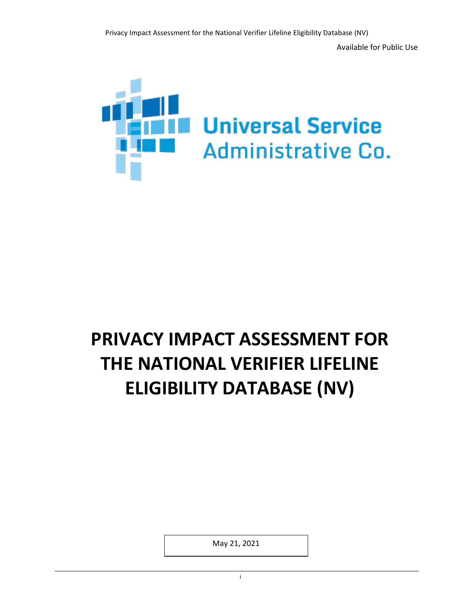

# **PRIVACY IMPACT ASSESSMENT FOR THE NATIONAL VERIFIER LIFELINE ELIGIBILITY DATABASE (NV)**

May 21, 2021

in the contract of the contract of the contract of the contract of the contract of the contract of the contract of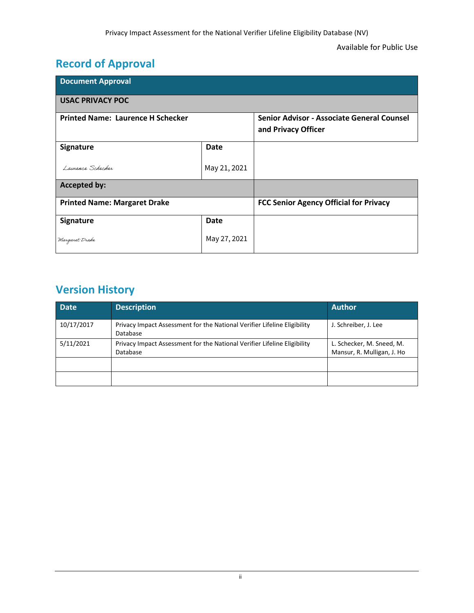## **Record of Approval**

| <b>Document Approval</b>                 |              |                                                                   |  |
|------------------------------------------|--------------|-------------------------------------------------------------------|--|
| <b>USAC PRIVACY POC</b>                  |              |                                                                   |  |
| <b>Printed Name: Laurence H Schecker</b> |              | Senior Advisor - Associate General Counsel<br>and Privacy Officer |  |
| Signature                                | Date         |                                                                   |  |
| Laurence Schecker                        | May 21, 2021 |                                                                   |  |
| <b>Accepted by:</b>                      |              |                                                                   |  |
| <b>Printed Name: Margaret Drake</b>      |              | <b>FCC Senior Agency Official for Privacy</b>                     |  |
| Signature                                | Date         |                                                                   |  |
| Margaret Drake                           | May 27, 2021 |                                                                   |  |

## **Version History**

| <b>Date</b> | <b>Description</b>                                                                   | <b>Author</b>                                           |
|-------------|--------------------------------------------------------------------------------------|---------------------------------------------------------|
| 10/17/2017  | Privacy Impact Assessment for the National Verifier Lifeline Eligibility<br>Database | J. Schreiber, J. Lee                                    |
| 5/11/2021   | Privacy Impact Assessment for the National Verifier Lifeline Eligibility<br>Database | L. Schecker, M. Sneed, M.<br>Mansur, R. Mulligan, J. Ho |
|             |                                                                                      |                                                         |
|             |                                                                                      |                                                         |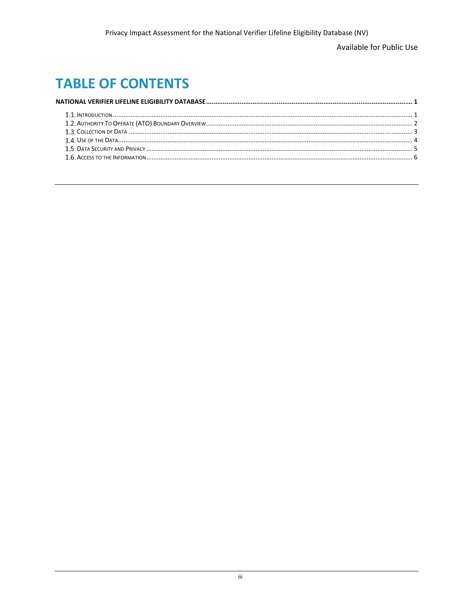Available for Public Use

## **TABLE OF CONTENTS**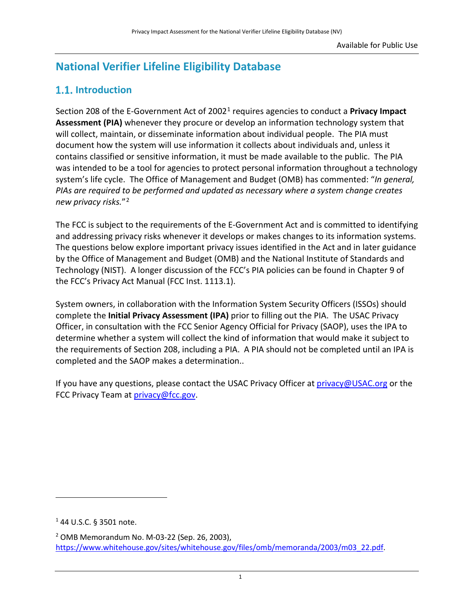## <span id="page-3-0"></span>**National Verifier Lifeline Eligibility Database**

### **1.1.** Introduction

Section 208 of the E-Government Act of 20021 requires agencies to conduct a **Privacy Impact Assessment (PIA)** whenever they procure or develop an information technology system that will collect, maintain, or disseminate information about individual people. The PIA must document how the system will use information it collects about individuals and, unless it contains classified or sensitive information, it must be made available to the public. The PIA was intended to be a tool for agencies to protect personal information throughout a technology system's life cycle. The Office of Management and Budget (OMB) has commented: "*In general, PIAs are required to be performed and updated as necessary where a system change creates new privacy risks.*"2

The FCC is subject to the requirements of the E-Government Act and is committed to identifying and addressing privacy risks whenever it develops or makes changes to its information systems. The questions below explore important privacy issues identified in the Act and in later guidance by the Office of Management and Budget (OMB) and the National Institute of Standards and Technology (NIST). A longer discussion of the FCC's PIA policies can be found in Chapter 9 of the FCC's Privacy Act Manual (FCC Inst. 1113.1).

System owners, in collaboration with the Information System Security Officers (ISSOs) should complete the **Initial Privacy Assessment (IPA)** prior to filling out the PIA. The USAC Privacy Officer, in consultation with the FCC Senior Agency Official for Privacy (SAOP), uses the IPA to determine whether a system will collect the kind of information that would make it subject to the requirements of Section 208, including a PIA. A PIA should not be completed until an IPA is completed and the SAOP makes a determination..

If you have any questions, please contact the USAC Privacy Officer at [privacy@USAC.org](mailto:privacy@USAC.org) or the FCC Privacy Team at [privacy@fcc.gov.](mailto:privacy@fcc.gov)

 $\overline{\phantom{a}}$ 

<sup>1</sup> 44 U.S.C. § 3501 note.

<sup>2</sup> OMB Memorandum No. M-03-22 (Sep. 26, 2003), [https://www.whitehouse.gov/sites/whitehouse.gov/files/omb/memoranda/2003/m03\\_22.pdf.](https://www.whitehouse.gov/sites/whitehouse.gov/files/omb/memoranda/2003/m03_22.pdf)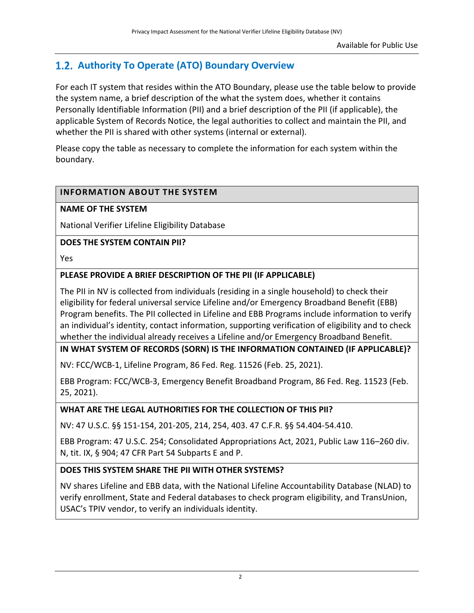### <span id="page-4-0"></span>**Authority To Operate (ATO) Boundary Overview**

For each IT system that resides within the ATO Boundary, please use the table below to provide the system name, a brief description of the what the system does, whether it contains Personally Identifiable Information (PII) and a brief description of the PII (if applicable), the applicable System of Records Notice, the legal authorities to collect and maintain the PII, and whether the PII is shared with other systems (internal or external).

Please copy the table as necessary to complete the information for each system within the boundary.

#### **INFORMATION ABOUT THE SYSTEM**

#### **NAME OF THE SYSTEM**

National Verifier Lifeline Eligibility Database

#### **DOES THE SYSTEM CONTAIN PII?**

Yes

#### **PLEASE PROVIDE A BRIEF DESCRIPTION OF THE PII (IF APPLICABLE)**

The PII in NV is collected from individuals (residing in a single household) to check their eligibility for federal universal service Lifeline and/or Emergency Broadband Benefit (EBB) Program benefits. The PII collected in Lifeline and EBB Programs include information to verify an individual's identity, contact information, supporting verification of eligibility and to check whether the individual already receives a Lifeline and/or Emergency Broadband Benefit.

#### **IN WHAT SYSTEM OF RECORDS (SORN) IS THE INFORMATION CONTAINED (IF APPLICABLE)?**

NV: FCC/WCB-1, Lifeline Program, 86 Fed. Reg. 11526 (Feb. 25, 2021).

EBB Program: FCC/WCB-3, Emergency Benefit Broadband Program, 86 Fed. Reg. 11523 (Feb. 25, 2021).

#### **WHAT ARE THE LEGAL AUTHORITIES FOR THE COLLECTION OF THIS PII?**

NV: 47 U.S.C. §§ 151-154, 201-205, 214, 254, 403. 47 C.F.R. §§ 54.404-54.410.

EBB Program: 47 U.S.C. 254; Consolidated Appropriations Act, 2021, Public Law 116–260 div. N, tit. IX, § 904; 47 CFR Part 54 Subparts E and P.

#### **DOES THIS SYSTEM SHARE THE PII WITH OTHER SYSTEMS?**

NV shares Lifeline and EBB data, with the National Lifeline Accountability Database (NLAD) to verify enrollment, State and Federal databases to check program eligibility, and TransUnion, USAC's TPIV vendor, to verify an individuals identity.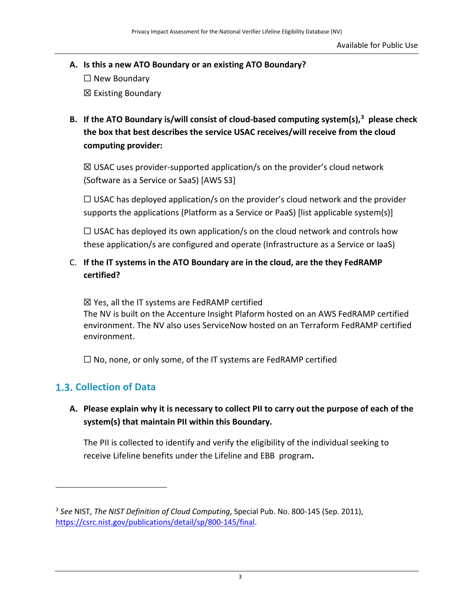<span id="page-5-0"></span>**A. Is this a new ATO Boundary or an existing ATO Boundary?** 

 $\Box$  New Boundary ☒ Existing Boundary

**B. If the ATO Boundary is/will consist of cloud-based computing system(s), 3 please check the box that best describes the service USAC receives/will receive from the cloud computing provider:** 

 $\boxtimes$  USAC uses provider-supported application/s on the provider's cloud network (Software as a Service or SaaS) [AWS S3]

 $\Box$  USAC has deployed application/s on the provider's cloud network and the provider supports the applications (Platform as a Service or PaaS) [list applicable system(s)]

 $\Box$  USAC has deployed its own application/s on the cloud network and controls how these application/s are configured and operate (Infrastructure as a Service or IaaS)

#### C. **If the IT systems in the ATO Boundary are in the cloud, are the they FedRAMP certified?**

☒ Yes, all the IT systems are FedRAMP certified

The NV is built on the Accenture Insight Plaform hosted on an AWS FedRAMP certified environment. The NV also uses ServiceNow hosted on an Terraform FedRAMP certified environment.

 $\Box$  No, none, or only some, of the IT systems are FedRAMP certified

### **Collection of Data**

 $\overline{a}$ 

#### **A. Please explain why it is necessary to collect PII to carry out the purpose of each of the system(s) that maintain PII within this Boundary.**

The PII is collected to identify and verify the eligibility of the individual seeking to receive Lifeline benefits under the Lifeline and EBB program**.**

<sup>3</sup> *See* NIST, *The NIST Definition of Cloud Computing*, Special Pub. No. 800-145 (Sep. 2011), [https://csrc.nist.gov/publications/detail/sp/800-145/final.](https://csrc.nist.gov/publications/detail/sp/800-145/final)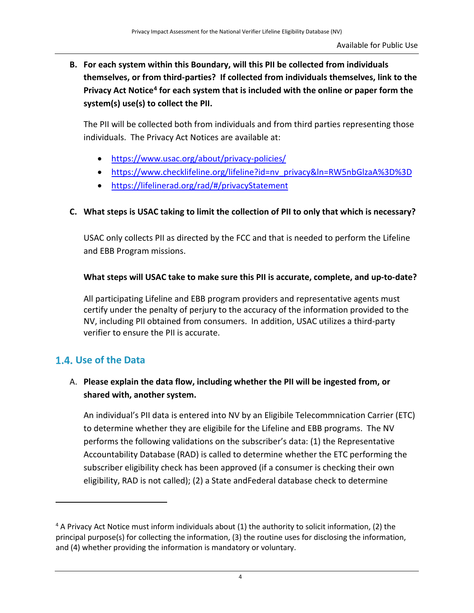<span id="page-6-0"></span>**B. For each system within this Boundary, will this PII be collected from individuals themselves, or from third-parties? If collected from individuals themselves, link to the Privacy Act Notice4 for each system that is included with the online or paper form the system(s) use(s) to collect the PII.** 

The PII will be collected both from individuals and from third parties representing those individuals. The Privacy Act Notices are available at:

- <https://www.usac.org/about/privacy-policies/>
- [https://www.checklifeline.org/lifeline?id=nv\\_privacy&ln=RW5nbGlzaA%3D%3D](https://www.checklifeline.org/lifeline?id=nv_privacy&ln=RW5nbGlzaA%3D%3D)
- <https://lifelinerad.org/rad/#/privacyStatement>

#### **C. What steps is USAC taking to limit the collection of PII to only that which is necessary?**

USAC only collects PII as directed by the FCC and that is needed to perform the Lifeline and EBB Program missions.

#### **What steps will USAC take to make sure this PII is accurate, complete, and up-to-date?**

All participating Lifeline and EBB program providers and representative agents must certify under the penalty of perjury to the accuracy of the information provided to the NV, including PII obtained from consumers. In addition, USAC utilizes a third-party verifier to ensure the PII is accurate.

### **Use of the Data**

 $\overline{\phantom{a}}$ 

#### A. **Please explain the data flow, including whether the PII will be ingested from, or shared with, another system.**

An individual's PII data is entered into NV by an Eligibile Telecommnication Carrier (ETC) to determine whether they are eligibile for the Lifeline and EBB programs. The NV performs the following validations on the subscriber's data: (1) the Representative Accountability Database (RAD) is called to determine whether the ETC performing the subscriber eligibility check has been approved (if a consumer is checking their own eligibility, RAD is not called); (2) a State andFederal database check to determine

<sup>4</sup> A Privacy Act Notice must inform individuals about (1) the authority to solicit information, (2) the principal purpose(s) for collecting the information, (3) the routine uses for disclosing the information, and (4) whether providing the information is mandatory or voluntary.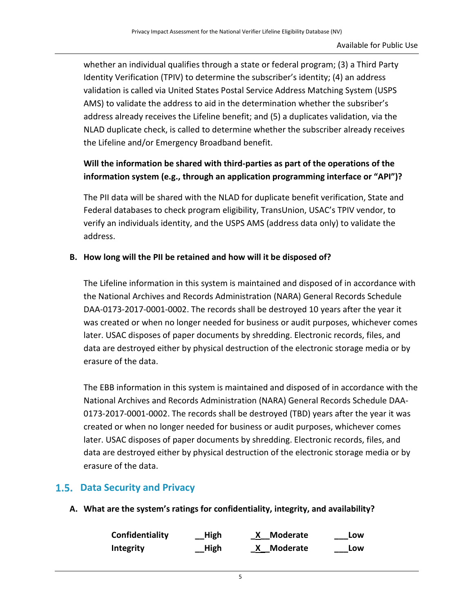<span id="page-7-0"></span>whether an individual qualifies through a state or federal program; (3) a Third Party Identity Verification (TPIV) to determine the subscriber's identity; (4) an address validation is called via United States Postal Service Address Matching System (USPS AMS) to validate the address to aid in the determination whether the subsriber's address already receives the Lifeline benefit; and (5) a duplicates validation, via the NLAD duplicate check, is called to determine whether the subscriber already receives the Lifeline and/or Emergency Broadband benefit.

#### **Will the information be shared with third-parties as part of the operations of the information system (e.g., through an application programming interface or "API")?**

The PII data will be shared with the NLAD for duplicate benefit verification, State and Federal databases to check program eligibility, TransUnion, USAC's TPIV vendor, to verify an individuals identity, and the USPS AMS (address data only) to validate the address.

#### **B. How long will the PII be retained and how will it be disposed of?**

The Lifeline information in this system is maintained and disposed of in accordance with the National Archives and Records Administration (NARA) General Records Schedule DAA-0173-2017-0001-0002. The records shall be destroyed 10 years after the year it was created or when no longer needed for business or audit purposes, whichever comes later. USAC disposes of paper documents by shredding. Electronic records, files, and data are destroyed either by physical destruction of the electronic storage media or by erasure of the data.

The EBB information in this system is maintained and disposed of in accordance with the National Archives and Records Administration (NARA) General Records Schedule DAA-0173-2017-0001-0002. The records shall be destroyed (TBD) years after the year it was created or when no longer needed for business or audit purposes, whichever comes later. USAC disposes of paper documents by shredding. Electronic records, files, and data are destroyed either by physical destruction of the electronic storage media or by erasure of the data.

#### **Data Security and Privacy**

**A. What are the system's ratings for confidentiality, integrity, and availability?**

| Confidentiality  | __High | X Moderate | Low |
|------------------|--------|------------|-----|
| <b>Integrity</b> | __High | X Moderate | Low |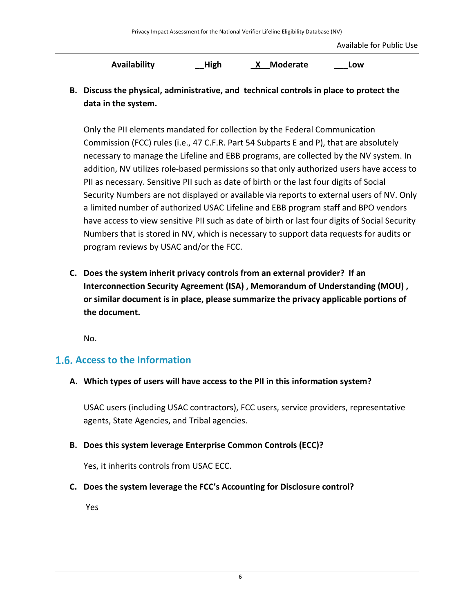Available for Public Use

**Availability \_\_High \_X\_\_Moderate \_\_\_Low**

<span id="page-8-0"></span>**B. Discuss the physical, administrative, and technical controls in place to protect the data in the system.**

Only the PII elements mandated for collection by the Federal Communication Commission (FCC) rules (i.e., 47 C.F.R. Part 54 Subparts E and P), that are absolutely necessary to manage the Lifeline and EBB programs, are collected by the NV system. In addition, NV utilizes role-based permissions so that only authorized users have access to PII as necessary. Sensitive PII such as date of birth or the last four digits of Social Security Numbers are not displayed or available via reports to external users of NV. Only a limited number of authorized USAC Lifeline and EBB program staff and BPO vendors have access to view sensitive PII such as date of birth or last four digits of Social Security Numbers that is stored in NV, which is necessary to support data requests for audits or program reviews by USAC and/or the FCC.

**C. Does the system inherit privacy controls from an external provider? If an Interconnection Security Agreement (ISA) , Memorandum of Understanding (MOU) , or similar document is in place, please summarize the privacy applicable portions of the document.** 

No.

#### **Access to the Information**

**A. Which types of users will have access to the PII in this information system?**

USAC users (including USAC contractors), FCC users, service providers, representative agents, State Agencies, and Tribal agencies.

**B. Does this system leverage Enterprise Common Controls (ECC)?**

Yes, it inherits controls from USAC ECC.

**C. Does the system leverage the FCC's Accounting for Disclosure control?**

Yes